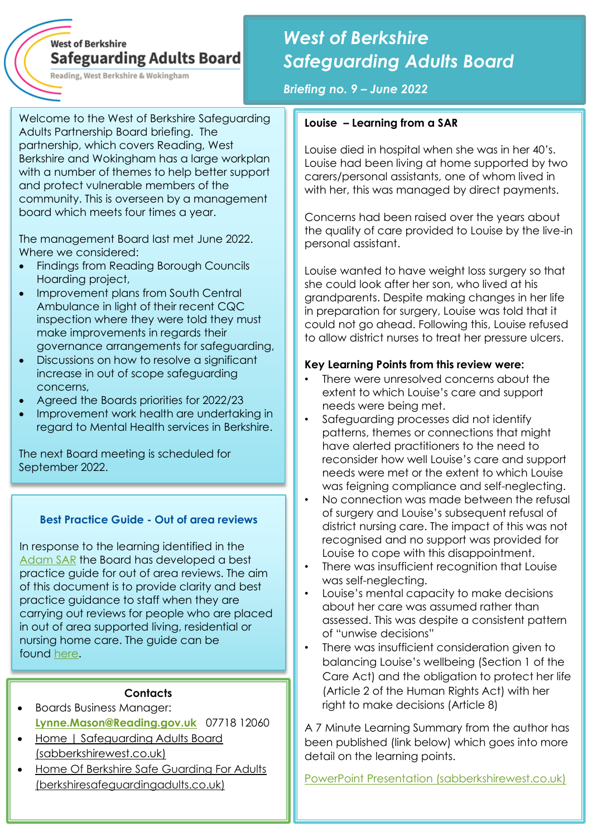# **West of Berkshire Safeguarding Adults Board**

Reading, West Berkshire & Wokingham

# *West of Berkshire Safeguarding Adults Board*

*Briefing no. 9 – June 2022*

Welcome to the West of Berkshire Safeguarding Adults Partnership Board briefing. The partnership, which covers Reading, West Berkshire and Wokingham has a large workplan with a number of themes to help better support and protect vulnerable members of the community. This is overseen by a management board which meets four times a year.

The management Board last met June 2022. Where we considered:

- Findings from Reading Borough Councils Hoarding project,
- Improvement plans from South Central Ambulance in light of their recent CQC inspection where they were told they must make improvements in regards their governance arrangements for safeguarding,
- Discussions on how to resolve a significant increase in out of scope safeguarding concerns,
- Agreed the Boards priorities for 2022/23
- Improvement work health are undertaking in regard to Mental Health services in Berkshire.

The next Board meeting is scheduled for September 2022.

#### **Best Practice Guide - Out of area reviews**

In response to the learning identified in the [Adam SAR](https://www.sabberkshirewest.co.uk/practitioners/safeguarding-adults-reviews/) the Board has developed a best practice guide for out of area reviews. The aim of this document is to provide clarity and best practice guidance to staff when they are carrying out reviews for people who are placed in out of area supported living, residential or nursing home care. The guide can be found [here.](https://www.sabberkshirewest.co.uk/media/1590/out-of-area-reviews-best-practice-guide-v10.pdf)

#### **Contacts**

- Boards Business Manager: **[Lynne.Mason@Reading.gov.uk](mailto:Lynne.Mason@Reading.gov.uk)** 07718 12060
- [Home | Safeguarding Adults Board](http://www.sabberkshirewest.co.uk/)  [\(sabberkshirewest.co.uk\)](http://www.sabberkshirewest.co.uk/)
- [Home Of Berkshire Safe Guarding For Adults](https://www.berkshiresafeguardingadults.co.uk/)  [\(berkshiresafeguardingadults.co.uk\)](https://www.berkshiresafeguardingadults.co.uk/)

# **Louise – Learning from a SAR**

Louise died in hospital when she was in her 40's. Louise had been living at home supported by two carers/personal assistants, one of whom lived in with her, this was managed by direct payments.

Concerns had been raised over the years about the quality of care provided to Louise by the live-in personal assistant.

Louise wanted to have weight loss surgery so that she could look after her son, who lived at his grandparents. Despite making changes in her life in preparation for surgery, Louise was told that it could not go ahead. Following this, Louise refused to allow district nurses to treat her pressure ulcers.

## **Key Learning Points from this review were:**

- There were unresolved concerns about the extent to which Louise's care and support needs were being met.
- Safeguarding processes did not identify patterns, themes or connections that might have alerted practitioners to the need to reconsider how well Louise's care and support needs were met or the extent to which Louise was feigning compliance and self-neglecting.
- No connection was made between the refusal of surgery and Louise's subsequent refusal of district nursing care. The impact of this was not recognised and no support was provided for Louise to cope with this disappointment.
- There was insufficient recognition that Louise was self-neglecting.
- Louise's mental capacity to make decisions about her care was assumed rather than assessed. This was despite a consistent pattern of "unwise decisions"
- There was insufficient consideration given to balancing Louise's wellbeing (Section 1 of the Care Act) and the obligation to protect her life (Article 2 of the Human Rights Act) with her right to make decisions (Article 8)

A 7 Minute Learning Summary from the author has been published (link below) which goes into more detail on the learning points.

[PowerPoint Presentation \(sabberkshirewest.co.uk\)](https://www.sabberkshirewest.co.uk/media/1593/louise-seven-minute-briefing-note-v20.pdf)